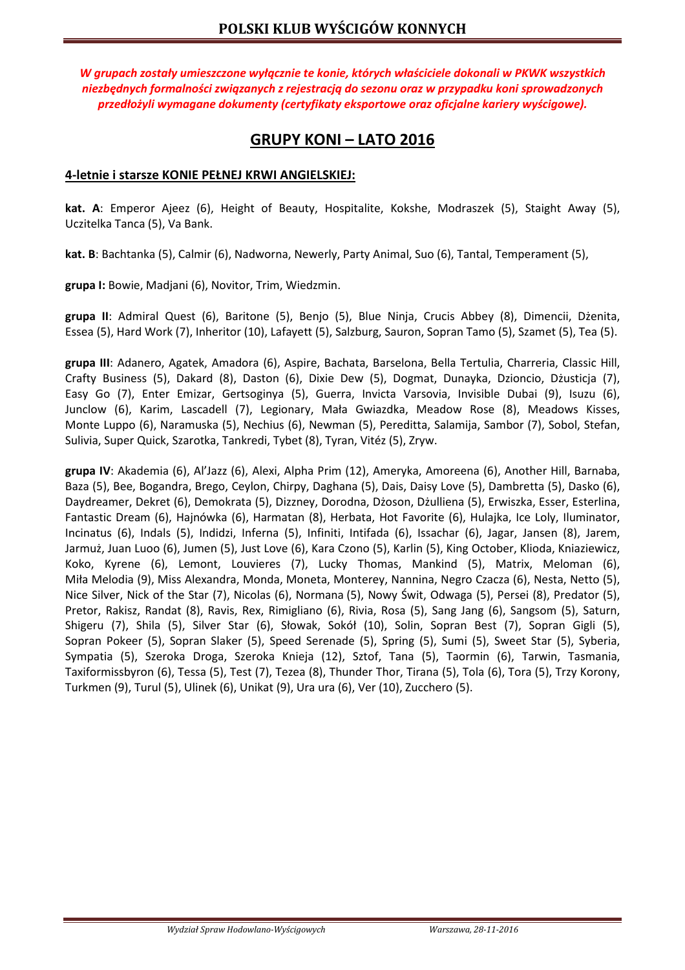*W grupach zostały umieszczone wyłącznie te konie, których właściciele dokonali w PKWK wszystkich niezbędnych formalności związanych z rejestracją do sezonu oraz w przypadku koni sprowadzonych przedłożyli wymagane dokumenty (certyfikaty eksportowe oraz oficjalne kariery wyścigowe).* 

# **GRUPY KONI – LATO 2016**

### **4-letnie i starsze KONIE PEŁNEJ KRWI ANGIELSKIEJ:**

**kat. A**: Emperor Ajeez (6), Height of Beauty, Hospitalite, Kokshe, Modraszek (5), Staight Away (5), Uczitelka Tanca (5), Va Bank.

**kat. B**: Bachtanka (5), Calmir (6), Nadworna, Newerly, Party Animal, Suo (6), Tantal, Temperament (5),

**grupa I:** Bowie, Madjani (6), Novitor, Trim, Wiedzmin.

**grupa II**: Admiral Quest (6), Baritone (5), Benjo (5), Blue Ninja, Crucis Abbey (8), Dimencii, Dżenita, Essea (5), Hard Work (7), Inheritor (10), Lafayett (5), Salzburg, Sauron, Sopran Tamo (5), Szamet (5), Tea (5).

**grupa III**: Adanero, Agatek, Amadora (6), Aspire, Bachata, Barselona, Bella Tertulia, Charreria, Classic Hill, Crafty Business (5), Dakard (8), Daston (6), Dixie Dew (5), Dogmat, Dunayka, Dzioncio, Dżusticja (7), Easy Go (7), Enter Emizar, Gertsoginya (5), Guerra, Invicta Varsovia, Invisible Dubai (9), Isuzu (6), Junclow (6), Karim, Lascadell (7), Legionary, Mała Gwiazdka, Meadow Rose (8), Meadows Kisses, Monte Luppo (6), Naramuska (5), Nechius (6), Newman (5), Pereditta, Salamija, Sambor (7), Sobol, Stefan, Sulivia, Super Quick, Szarotka, Tankredi, Tybet (8), Tyran, Vitéz (5), Zryw.

**grupa IV**: Akademia (6), Al'Jazz (6), Alexi, Alpha Prim (12), Ameryka, Amoreena (6), Another Hill, Barnaba, Baza (5), Bee, Bogandra, Brego, Ceylon, Chirpy, Daghana (5), Dais, Daisy Love (5), Dambretta (5), Dasko (6), Daydreamer, Dekret (6), Demokrata (5), Dizzney, Dorodna, Dżoson, Dżulliena (5), Erwiszka, Esser, Esterlina, Fantastic Dream (6), Hajnówka (6), Harmatan (8), Herbata, Hot Favorite (6), Hulajka, Ice Loly, Iluminator, Incinatus (6), Indals (5), Indidzi, Inferna (5), Infiniti, Intifada (6), Issachar (6), Jagar, Jansen (8), Jarem, Jarmuż, Juan Luoo (6), Jumen (5), Just Love (6), Kara Czono (5), Karlin (5), King October, Klioda, Kniaziewicz, Koko, Kyrene (6), Lemont, Louvieres (7), Lucky Thomas, Mankind (5), Matrix, Meloman (6), Miła Melodia (9), Miss Alexandra, Monda, Moneta, Monterey, Nannina, Negro Czacza (6), Nesta, Netto (5), Nice Silver, Nick of the Star (7), Nicolas (6), Normana (5), Nowy Świt, Odwaga (5), Persei (8), Predator (5), Pretor, Rakisz, Randat (8), Ravis, Rex, Rimigliano (6), Rivia, Rosa (5), Sang Jang (6), Sangsom (5), Saturn, Shigeru (7), Shila (5), Silver Star (6), Słowak, Sokół (10), Solin, Sopran Best (7), Sopran Gigli (5), Sopran Pokeer (5), Sopran Slaker (5), Speed Serenade (5), Spring (5), Sumi (5), Sweet Star (5), Syberia, Sympatia (5), Szeroka Droga, Szeroka Knieja (12), Sztof, Tana (5), Taormin (6), Tarwin, Tasmania, Taxiformissbyron (6), Tessa (5), Test (7), Tezea (8), Thunder Thor, Tirana (5), Tola (6), Tora (5), Trzy Korony, Turkmen (9), Turul (5), Ulinek (6), Unikat (9), Ura ura (6), Ver (10), Zucchero (5).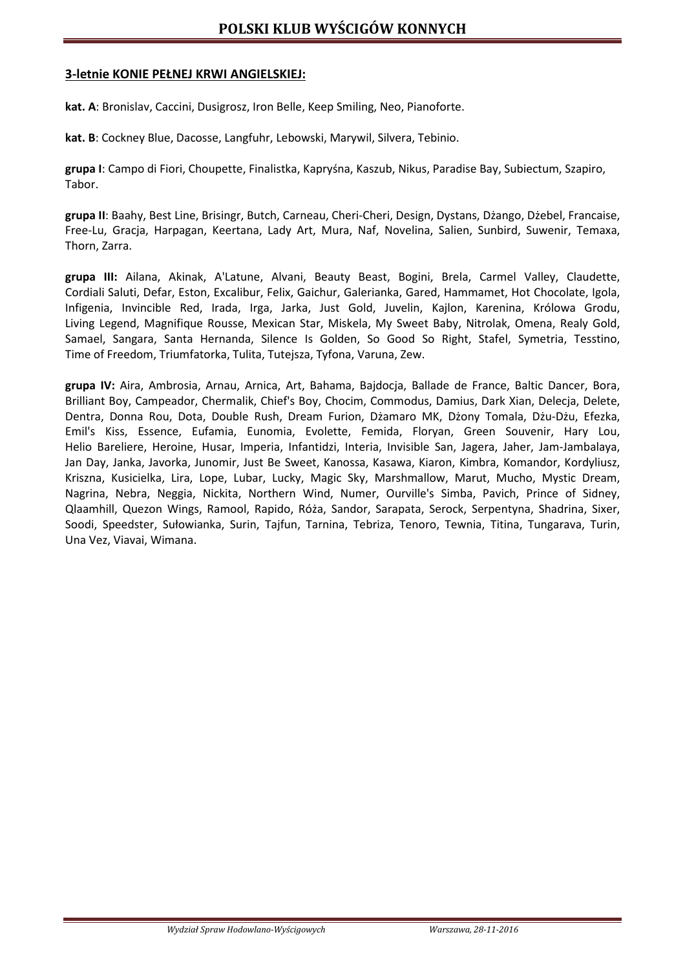### **3-letnie KONIE PEŁNEJ KRWI ANGIELSKIEJ:**

**kat. A**: Bronislav, Caccini, Dusigrosz, Iron Belle, Keep Smiling, Neo, Pianoforte.

**kat. B**: Cockney Blue, Dacosse, Langfuhr, Lebowski, Marywil, Silvera, Tebinio.

**grupa I**: Campo di Fiori, Choupette, Finalistka, Kapryśna, Kaszub, Nikus, Paradise Bay, Subiectum, Szapiro, Tabor.

**grupa II**: Baahy, Best Line, Brisingr, Butch, Carneau, Cheri-Cheri, Design, Dystans, Dżango, Dżebel, Francaise, Free-Lu, Gracja, Harpagan, Keertana, Lady Art, Mura, Naf, Novelina, Salien, Sunbird, Suwenir, Temaxa, Thorn, Zarra.

**grupa III:** Ailana, Akinak, A'Latune, Alvani, Beauty Beast, Bogini, Brela, Carmel Valley, Claudette, Cordiali Saluti, Defar, Eston, Excalibur, Felix, Gaichur, Galerianka, Gared, Hammamet, Hot Chocolate, Igola, Infigenia, Invincible Red, Irada, Irga, Jarka, Just Gold, Juvelin, Kajlon, Karenina, Królowa Grodu, Living Legend, Magnifique Rousse, Mexican Star, Miskela, My Sweet Baby, Nitrolak, Omena, Realy Gold, Samael, Sangara, Santa Hernanda, Silence Is Golden, So Good So Right, Stafel, Symetria, Tesstino, Time of Freedom, Triumfatorka, Tulita, Tutejsza, Tyfona, Varuna, Zew.

**grupa IV:** Aira, Ambrosia, Arnau, Arnica, Art, Bahama, Bajdocja, Ballade de France, Baltic Dancer, Bora, Brilliant Boy, Campeador, Chermalik, Chief's Boy, Chocim, Commodus, Damius, Dark Xian, Delecja, Delete, Dentra, Donna Rou, Dota, Double Rush, Dream Furion, Dżamaro MK, Dżony Tomala, Dżu-Dżu, Efezka, Emil's Kiss, Essence, Eufamia, Eunomia, Evolette, Femida, Floryan, Green Souvenir, Hary Lou, Helio Bareliere, Heroine, Husar, Imperia, Infantidzi, Interia, Invisible San, Jagera, Jaher, Jam-Jambalaya, Jan Day, Janka, Javorka, Junomir, Just Be Sweet, Kanossa, Kasawa, Kiaron, Kimbra, Komandor, Kordyliusz, Kriszna, Kusicielka, Lira, Lope, Lubar, Lucky, Magic Sky, Marshmallow, Marut, Mucho, Mystic Dream, Nagrina, Nebra, Neggia, Nickita, Northern Wind, Numer, Ourville's Simba, Pavich, Prince of Sidney, Qlaamhill, Quezon Wings, Ramool, Rapido, Róża, Sandor, Sarapata, Serock, Serpentyna, Shadrina, Sixer, Soodi, Speedster, Sułowianka, Surin, Tajfun, Tarnina, Tebriza, Tenoro, Tewnia, Titina, Tungarava, Turin, Una Vez, Viavai, Wimana.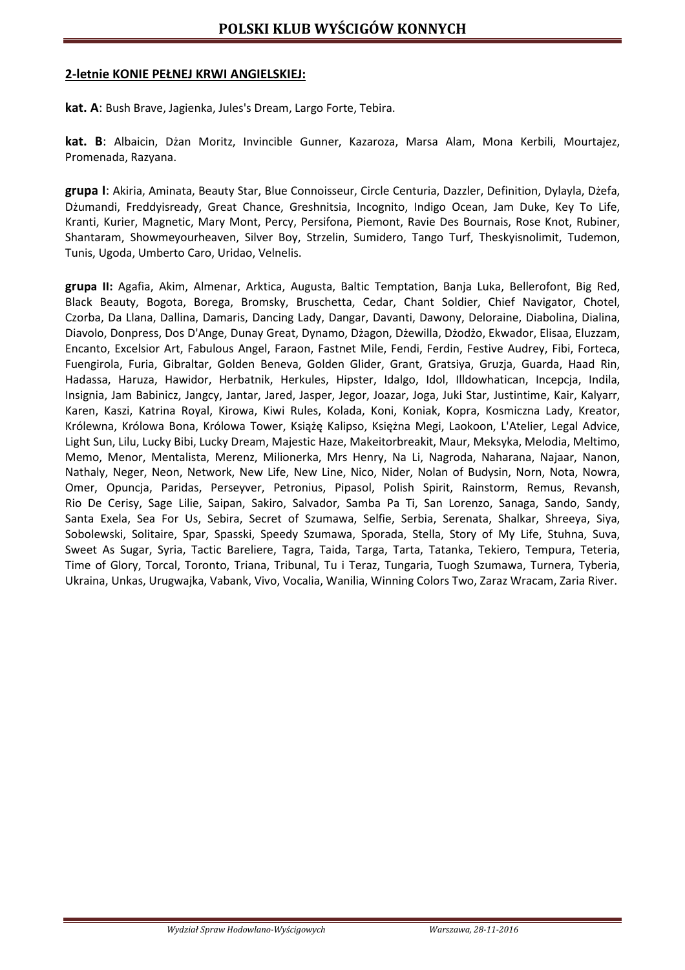#### **2-letnie KONIE PEŁNEJ KRWI ANGIELSKIEJ:**

**kat. A**: Bush Brave, Jagienka, Jules's Dream, Largo Forte, Tebira.

**kat. B**: Albaicin, Dżan Moritz, Invincible Gunner, Kazaroza, Marsa Alam, Mona Kerbili, Mourtajez, Promenada, Razyana.

**grupa I**: Akiria, Aminata, Beauty Star, Blue Connoisseur, Circle Centuria, Dazzler, Definition, Dylayla, Dżefa, Dżumandi, Freddyisready, Great Chance, Greshnitsia, Incognito, Indigo Ocean, Jam Duke, Key To Life, Kranti, Kurier, Magnetic, Mary Mont, Percy, Persifona, Piemont, Ravie Des Bournais, Rose Knot, Rubiner, Shantaram, Showmeyourheaven, Silver Boy, Strzelin, Sumidero, Tango Turf, Theskyisnolimit, Tudemon, Tunis, Ugoda, Umberto Caro, Uridao, Velnelis.

**grupa II:** Agafia, Akim, Almenar, Arktica, Augusta, Baltic Temptation, Banja Luka, Bellerofont, Big Red, Black Beauty, Bogota, Borega, Bromsky, Bruschetta, Cedar, Chant Soldier, Chief Navigator, Chotel, Czorba, Da Llana, Dallina, Damaris, Dancing Lady, Dangar, Davanti, Dawony, Deloraine, Diabolina, Dialina, Diavolo, Donpress, Dos D'Ange, Dunay Great, Dynamo, Dżagon, Dżewilla, Dżodżo, Ekwador, Elisaa, Eluzzam, Encanto, Excelsior Art, Fabulous Angel, Faraon, Fastnet Mile, Fendi, Ferdin, Festive Audrey, Fibi, Forteca, Fuengirola, Furia, Gibraltar, Golden Beneva, Golden Glider, Grant, Gratsiya, Gruzja, Guarda, Haad Rin, Hadassa, Haruza, Hawidor, Herbatnik, Herkules, Hipster, Idalgo, Idol, Illdowhatican, Incepcja, Indila, Insignia, Jam Babinicz, Jangcy, Jantar, Jared, Jasper, Jegor, Joazar, Joga, Juki Star, Justintime, Kair, Kalyarr, Karen, Kaszi, Katrina Royal, Kirowa, Kiwi Rules, Kolada, Koni, Koniak, Kopra, Kosmiczna Lady, Kreator, Królewna, Królowa Bona, Królowa Tower, Książę Kalipso, Księżna Megi, Laokoon, L'Atelier, Legal Advice, Light Sun, Lilu, Lucky Bibi, Lucky Dream, Majestic Haze, Makeitorbreakit, Maur, Meksyka, Melodia, Meltimo, Memo, Menor, Mentalista, Merenz, Milionerka, Mrs Henry, Na Li, Nagroda, Naharana, Najaar, Nanon, Nathaly, Neger, Neon, Network, New Life, New Line, Nico, Nider, Nolan of Budysin, Norn, Nota, Nowra, Omer, Opuncja, Paridas, Perseyver, Petronius, Pipasol, Polish Spirit, Rainstorm, Remus, Revansh, Rio De Cerisy, Sage Lilie, Saipan, Sakiro, Salvador, Samba Pa Ti, San Lorenzo, Sanaga, Sando, Sandy, Santa Exela, Sea For Us, Sebira, Secret of Szumawa, Selfie, Serbia, Serenata, Shalkar, Shreeya, Siya, Sobolewski, Solitaire, Spar, Spasski, Speedy Szumawa, Sporada, Stella, Story of My Life, Stuhna, Suva, Sweet As Sugar, Syria, Tactic Bareliere, Tagra, Taida, Targa, Tarta, Tatanka, Tekiero, Tempura, Teteria, Time of Glory, Torcal, Toronto, Triana, Tribunal, Tu i Teraz, Tungaria, Tuogh Szumawa, Turnera, Tyberia, Ukraina, Unkas, Urugwajka, Vabank, Vivo, Vocalia, Wanilia, Winning Colors Two, Zaraz Wracam, Zaria River.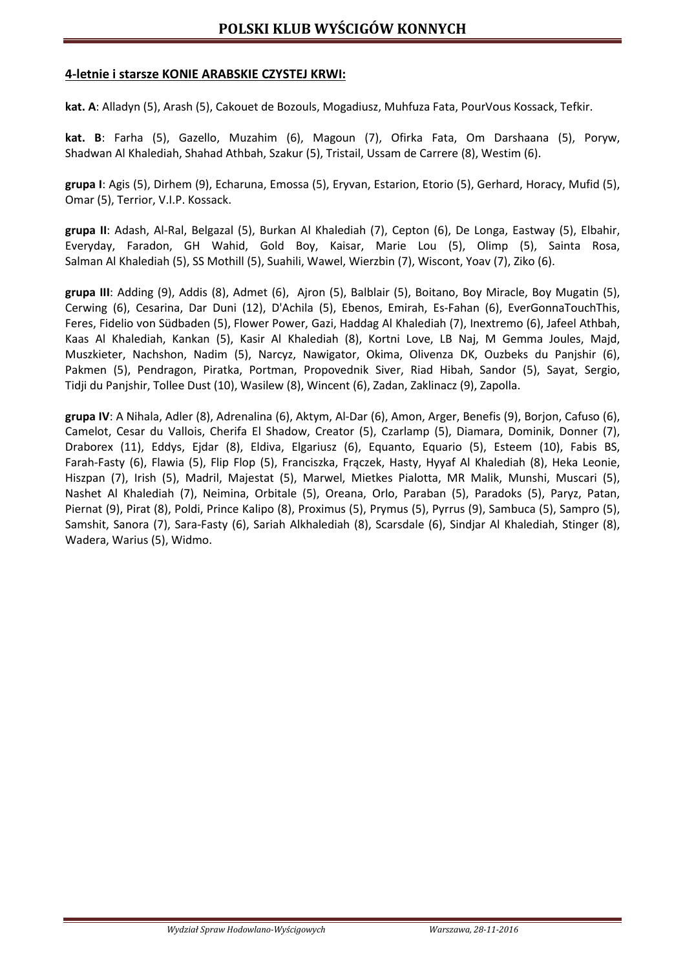## **4-letnie i starsze KONIE ARABSKIE CZYSTEJ KRWI:**

**kat. A**: Alladyn (5), Arash (5), Cakouet de Bozouls, Mogadiusz, Muhfuza Fata, PourVous Kossack, Tefkir.

**kat. B**: Farha (5), Gazello, Muzahim (6), Magoun (7), Ofirka Fata, Om Darshaana (5), Poryw, Shadwan Al Khalediah, Shahad Athbah, Szakur (5), Tristail, Ussam de Carrere (8), Westim (6).

**grupa I**: Agis (5), Dirhem (9), Echaruna, Emossa (5), Eryvan, Estarion, Etorio (5), Gerhard, Horacy, Mufid (5), Omar (5), Terrior, V.I.P. Kossack.

**grupa II**: Adash, Al-Ral, Belgazal (5), Burkan Al Khalediah (7), Cepton (6), De Longa, Eastway (5), Elbahir, Everyday, Faradon, GH Wahid, Gold Boy, Kaisar, Marie Lou (5), Olimp (5), Sainta Rosa, Salman Al Khalediah (5), SS Mothill (5), Suahili, Wawel, Wierzbin (7), Wiscont, Yoav (7), Ziko (6).

**grupa III**: Adding (9), Addis (8), Admet (6), Ajron (5), Balblair (5), Boitano, Boy Miracle, Boy Mugatin (5), Cerwing (6), Cesarina, Dar Duni (12), D'Achila (5), Ebenos, Emirah, Es-Fahan (6), EverGonnaTouchThis, Feres, Fidelio von Südbaden (5), Flower Power, Gazi, Haddag Al Khalediah (7), Inextremo (6), Jafeel Athbah, Kaas Al Khalediah, Kankan (5), Kasir Al Khalediah (8), Kortni Love, LB Naj, M Gemma Joules, Majd, Muszkieter, Nachshon, Nadim (5), Narcyz, Nawigator, Okima, Olivenza DK, Ouzbeks du Panjshir (6), Pakmen (5), Pendragon, Piratka, Portman, Propovednik Siver, Riad Hibah, Sandor (5), Sayat, Sergio, Tidji du Panjshir, Tollee Dust (10), Wasilew (8), Wincent (6), Zadan, Zaklinacz (9), Zapolla.

**grupa IV**: A Nihala, Adler (8), Adrenalina (6), Aktym, Al-Dar (6), Amon, Arger, Benefis (9), Borjon, Cafuso (6), Camelot, Cesar du Vallois, Cherifa El Shadow, Creator (5), Czarlamp (5), Diamara, Dominik, Donner (7), Draborex (11), Eddys, Ejdar (8), Eldiva, Elgariusz (6), Equanto, Equario (5), Esteem (10), Fabis BS, Farah-Fasty (6), Flawia (5), Flip Flop (5), Franciszka, Frączek, Hasty, Hyyaf Al Khalediah (8), Heka Leonie, Hiszpan (7), Irish (5), Madril, Majestat (5), Marwel, Mietkes Pialotta, MR Malik, Munshi, Muscari (5), Nashet Al Khalediah (7), Neimina, Orbitale (5), Oreana, Orlo, Paraban (5), Paradoks (5), Paryz, Patan, Piernat (9), Pirat (8), Poldi, Prince Kalipo (8), Proximus (5), Prymus (5), Pyrrus (9), Sambuca (5), Sampro (5), Samshit, Sanora (7), Sara-Fasty (6), Sariah Alkhalediah (8), Scarsdale (6), Sindjar Al Khalediah, Stinger (8), Wadera, Warius (5), Widmo.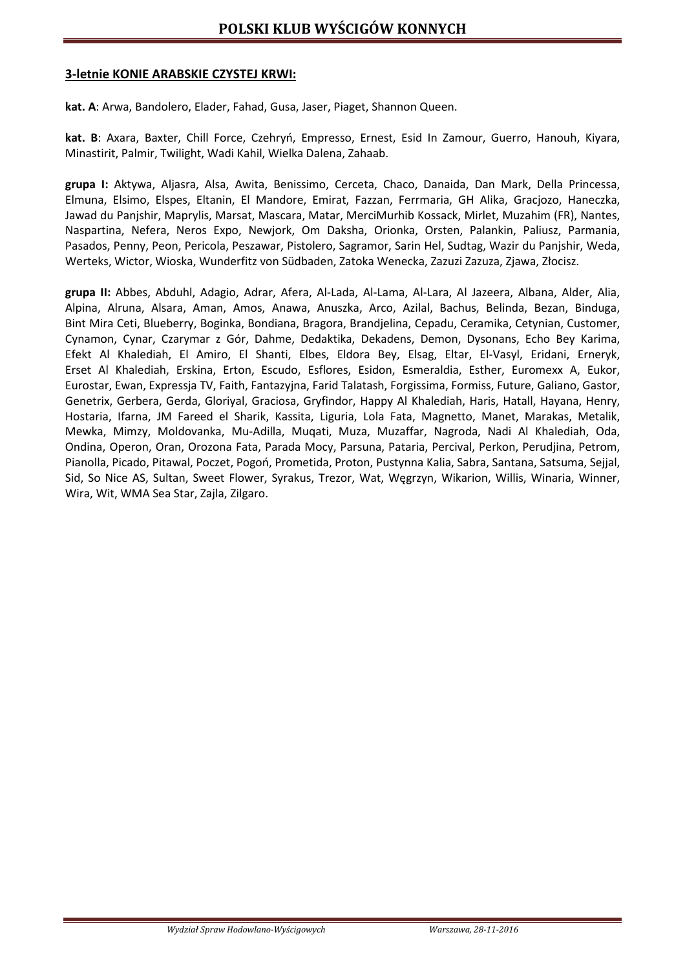#### **3-letnie KONIE ARABSKIE CZYSTEJ KRWI:**

**kat. A**: Arwa, Bandolero, Elader, Fahad, Gusa, Jaser, Piaget, Shannon Queen.

**kat. B**: Axara, Baxter, Chill Force, Czehryń, Empresso, Ernest, Esid In Zamour, Guerro, Hanouh, Kiyara, Minastirit, Palmir, Twilight, Wadi Kahil, Wielka Dalena, Zahaab.

**grupa I:** Aktywa, Aljasra, Alsa, Awita, Benissimo, Cerceta, Chaco, Danaida, Dan Mark, Della Princessa, Elmuna, Elsimo, Elspes, Eltanin, El Mandore, Emirat, Fazzan, Ferrmaria, GH Alika, Gracjozo, Haneczka, Jawad du Panjshir, Maprylis, Marsat, Mascara, Matar, MerciMurhib Kossack, Mirlet, Muzahim (FR), Nantes, Naspartina, Nefera, Neros Expo, Newjork, Om Daksha, Orionka, Orsten, Palankin, Paliusz, Parmania, Pasados, Penny, Peon, Pericola, Peszawar, Pistolero, Sagramor, Sarin Hel, Sudtag, Wazir du Panjshir, Weda, Werteks, Wictor, Wioska, Wunderfitz von Südbaden, Zatoka Wenecka, Zazuzi Zazuza, Zjawa, Złocisz.

**grupa II:** Abbes, Abduhl, Adagio, Adrar, Afera, Al-Lada, Al-Lama, Al-Lara, Al Jazeera, Albana, Alder, Alia, Alpina, Alruna, Alsara, Aman, Amos, Anawa, Anuszka, Arco, Azilal, Bachus, Belinda, Bezan, Binduga, Bint Mira Ceti, Blueberry, Boginka, Bondiana, Bragora, Brandjelina, Cepadu, Ceramika, Cetynian, Customer, Cynamon, Cynar, Czarymar z Gór, Dahme, Dedaktika, Dekadens, Demon, Dysonans, Echo Bey Karima, Efekt Al Khalediah, El Amiro, El Shanti, Elbes, Eldora Bey, Elsag, Eltar, El-Vasyl, Eridani, Erneryk, Erset Al Khalediah, Erskina, Erton, Escudo, Esflores, Esidon, Esmeraldia, Esther, Euromexx A, Eukor, Eurostar, Ewan, Expressja TV, Faith, Fantazyjna, Farid Talatash, Forgissima, Formiss, Future, Galiano, Gastor, Genetrix, Gerbera, Gerda, Gloriyal, Graciosa, Gryfindor, Happy Al Khalediah, Haris, Hatall, Hayana, Henry, Hostaria, Ifarna, JM Fareed el Sharik, Kassita, Liguria, Lola Fata, Magnetto, Manet, Marakas, Metalik, Mewka, Mimzy, Moldovanka, Mu-Adilla, Muqati, Muza, Muzaffar, Nagroda, Nadi Al Khalediah, Oda, Ondina, Operon, Oran, Orozona Fata, Parada Mocy, Parsuna, Pataria, Percival, Perkon, Perudjina, Petrom, Pianolla, Picado, Pitawal, Poczet, Pogoń, Prometida, Proton, Pustynna Kalia, Sabra, Santana, Satsuma, Sejjal, Sid, So Nice AS, Sultan, Sweet Flower, Syrakus, Trezor, Wat, Węgrzyn, Wikarion, Willis, Winaria, Winner, Wira, Wit, WMA Sea Star, Zajla, Zilgaro.